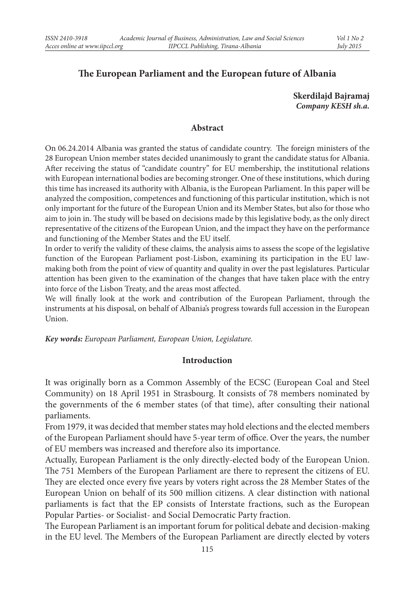# **The European Parliament and the European future of Albania**

**Skerdilajd Bajramaj** *Company KESH sh.a.*

### **Abstract**

On 06.24.2014 Albania was granted the status of candidate country. The foreign ministers of the 28 European Union member states decided unanimously to grant the candidate status for Albania. After receiving the status of "candidate country" for EU membership, the institutional relations with European international bodies are becoming stronger. One of these institutions, which during this time has increased its authority with Albania, is the European Parliament. In this paper will be analyzed the composition, competences and functioning of this particular institution, which is not only important for the future of the European Union and its Member States, but also for those who aim to join in. The study will be based on decisions made by this legislative body, as the only direct representative of the citizens of the European Union, and the impact they have on the performance and functioning of the Member States and the EU itself.

In order to verify the validity of these claims, the analysis aims to assess the scope of the legislative function of the European Parliament post-Lisbon, examining its participation in the EU lawmaking both from the point of view of quantity and quality in over the past legislatures. Particular attention has been given to the examination of the changes that have taken place with the entry into force of the Lisbon Treaty, and the areas most affected.

We will finally look at the work and contribution of the European Parliament, through the instruments at his disposal, on behalf of Albania's progress towards full accession in the European Union.

*Key words: European Parliament, European Union, Legislature.*

### **Introduction**

It was originally born as a Common Assembly of the ECSC (European Coal and Steel Community) on 18 April 1951 in Strasbourg. It consists of 78 members nominated by the governments of the 6 member states (of that time), after consulting their national parliaments.

From 1979, it was decided that member states may hold elections and the elected members of the European Parliament should have 5-year term of office. Over the years, the number of EU members was increased and therefore also its importance.

Actually, European Parliament is the only directly-elected body of the European Union. The 751 Members of the European Parliament are there to represent the citizens of EU. They are elected once every five years by voters right across the 28 Member States of the European Union on behalf of its 500 million citizens. A clear distinction with national parliaments is fact that the EP consists of Interstate fractions, such as the European Popular Parties- or Socialist- and Social Democratic Party fraction.

The European Parliament is an important forum for political debate and decision-making in the EU level. The Members of the European Parliament are directly elected by voters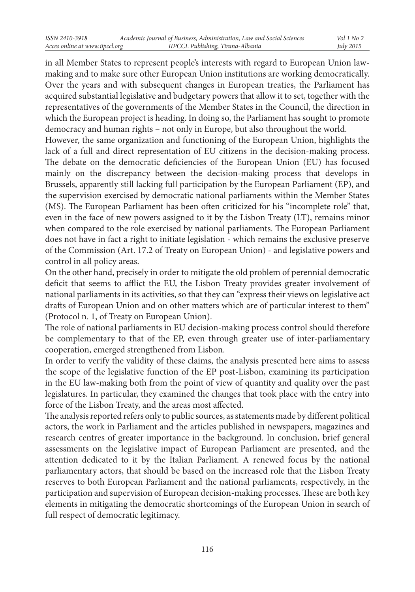in all Member States to represent people's interests with regard to European Union lawmaking and to make sure other European Union institutions are working democratically. Over the years and with subsequent changes in European treaties, the Parliament has acquired substantial legislative and budgetary powers that allow it to set, together with the representatives of the governments of the Member States in the Council, the direction in which the European project is heading. In doing so, the Parliament has sought to promote democracy and human rights – not only in Europe, but also throughout the world.

However, the same organization and functioning of the European Union, highlights the lack of a full and direct representation of EU citizens in the decision-making process. The debate on the democratic deficiencies of the European Union (EU) has focused mainly on the discrepancy between the decision-making process that develops in Brussels, apparently still lacking full participation by the European Parliament (EP), and the supervision exercised by democratic national parliaments within the Member States (MS). The European Parliament has been often criticized for his "incomplete role" that, even in the face of new powers assigned to it by the Lisbon Treaty (LT), remains minor when compared to the role exercised by national parliaments. The European Parliament does not have in fact a right to initiate legislation - which remains the exclusive preserve of the Commission (Art. 17.2 of Treaty on European Union) - and legislative powers and control in all policy areas.

On the other hand, precisely in order to mitigate the old problem of perennial democratic deficit that seems to afflict the EU, the Lisbon Treaty provides greater involvement of national parliaments in its activities, so that they can "express their views on legislative act drafts of European Union and on other matters which are of particular interest to them" (Protocol n. 1, of Treaty on European Union).

The role of national parliaments in EU decision-making process control should therefore be complementary to that of the EP, even through greater use of inter-parliamentary cooperation, emerged strengthened from Lisbon.

In order to verify the validity of these claims, the analysis presented here aims to assess the scope of the legislative function of the EP post-Lisbon, examining its participation in the EU law-making both from the point of view of quantity and quality over the past legislatures. In particular, they examined the changes that took place with the entry into force of the Lisbon Treaty, and the areas most affected.

The analysis reported refers only to public sources, as statements made by different political actors, the work in Parliament and the articles published in newspapers, magazines and research centres of greater importance in the background. In conclusion, brief general assessments on the legislative impact of European Parliament are presented, and the attention dedicated to it by the Italian Parliament. A renewed focus by the national parliamentary actors, that should be based on the increased role that the Lisbon Treaty reserves to both European Parliament and the national parliaments, respectively, in the participation and supervision of European decision-making processes. These are both key elements in mitigating the democratic shortcomings of the European Union in search of full respect of democratic legitimacy.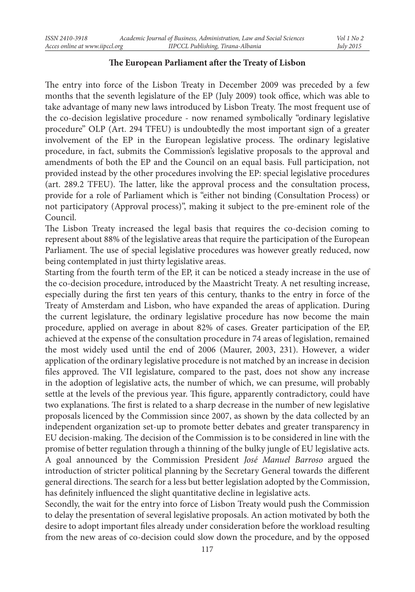# **The European Parliament after the Treaty of Lisbon**

The entry into force of the Lisbon Treaty in December 2009 was preceded by a few months that the seventh legislature of the EP (July 2009) took office, which was able to take advantage of many new laws introduced by Lisbon Treaty. The most frequent use of the co-decision legislative procedure - now renamed symbolically "ordinary legislative procedure" OLP (Art. 294 TFEU) is undoubtedly the most important sign of a greater involvement of the EP in the European legislative process. The ordinary legislative procedure, in fact, submits the Commission's legislative proposals to the approval and amendments of both the EP and the Council on an equal basis. Full participation, not provided instead by the other procedures involving the EP: special legislative procedures (art. 289.2 TFEU). The latter, like the approval process and the consultation process, provide for a role of Parliament which is "either not binding (Consultation Process) or not participatory (Approval process)", making it subject to the pre-eminent role of the Council.

The Lisbon Treaty increased the legal basis that requires the co-decision coming to represent about 88% of the legislative areas that require the participation of the European Parliament. The use of special legislative procedures was however greatly reduced, now being contemplated in just thirty legislative areas.

Starting from the fourth term of the EP, it can be noticed a steady increase in the use of the co-decision procedure, introduced by the Maastricht Treaty. A net resulting increase, especially during the first ten years of this century, thanks to the entry in force of the Treaty of Amsterdam and Lisbon, who have expanded the areas of application. During the current legislature, the ordinary legislative procedure has now become the main procedure, applied on average in about 82% of cases. Greater participation of the EP, achieved at the expense of the consultation procedure in 74 areas of legislation, remained the most widely used until the end of 2006 (Maurer, 2003, 231). However, a wider application of the ordinary legislative procedure is not matched by an increase in decision files approved. The VII legislature, compared to the past, does not show any increase in the adoption of legislative acts, the number of which, we can presume, will probably settle at the levels of the previous year. This figure, apparently contradictory, could have two explanations. The first is related to a sharp decrease in the number of new legislative proposals licenced by the Commission since 2007, as shown by the data collected by an independent organization set-up to promote better debates and greater transparency in EU decision-making. The decision of the Commission is to be considered in line with the promise of better regulation through a thinning of the bulky jungle of EU legislative acts. A goal announced by the Commission President *José Manuel Barroso* argued the introduction of stricter political planning by the Secretary General towards the different general directions. The search for a less but better legislation adopted by the Commission, has definitely influenced the slight quantitative decline in legislative acts.

Secondly, the wait for the entry into force of Lisbon Treaty would push the Commission to delay the presentation of several legislative proposals. An action motivated by both the desire to adopt important files already under consideration before the workload resulting from the new areas of co-decision could slow down the procedure, and by the opposed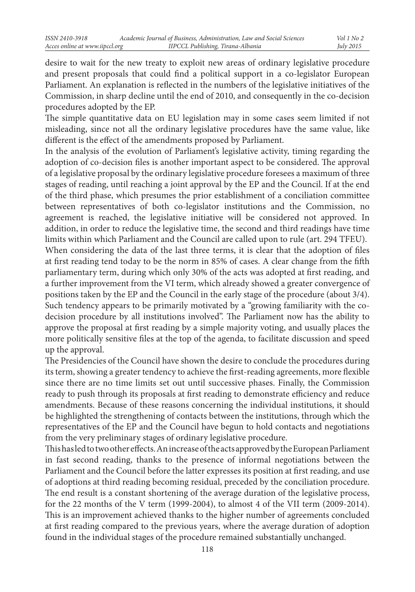desire to wait for the new treaty to exploit new areas of ordinary legislative procedure and present proposals that could find a political support in a co-legislator European Parliament. An explanation is reflected in the numbers of the legislative initiatives of the Commission, in sharp decline until the end of 2010, and consequently in the co-decision procedures adopted by the EP.

The simple quantitative data on EU legislation may in some cases seem limited if not misleading, since not all the ordinary legislative procedures have the same value, like different is the effect of the amendments proposed by Parliament.

In the analysis of the evolution of Parliament's legislative activity, timing regarding the adoption of co-decision files is another important aspect to be considered. The approval of a legislative proposal by the ordinary legislative procedure foresees a maximum of three stages of reading, until reaching a joint approval by the EP and the Council. If at the end of the third phase, which presumes the prior establishment of a conciliation committee between representatives of both co-legislator institutions and the Commission, no agreement is reached, the legislative initiative will be considered not approved. In addition, in order to reduce the legislative time, the second and third readings have time limits within which Parliament and the Council are called upon to rule (art. 294 TFEU).

When considering the data of the last three terms, it is clear that the adoption of files at first reading tend today to be the norm in 85% of cases. A clear change from the fifth parliamentary term, during which only 30% of the acts was adopted at first reading, and a further improvement from the VI term, which already showed a greater convergence of positions taken by the EP and the Council in the early stage of the procedure (about 3/4). Such tendency appears to be primarily motivated by a "growing familiarity with the codecision procedure by all institutions involved". The Parliament now has the ability to approve the proposal at first reading by a simple majority voting, and usually places the more politically sensitive files at the top of the agenda, to facilitate discussion and speed up the approval.

The Presidencies of the Council have shown the desire to conclude the procedures during its term, showing a greater tendency to achieve the first-reading agreements, more flexible since there are no time limits set out until successive phases. Finally, the Commission ready to push through its proposals at first reading to demonstrate efficiency and reduce amendments. Because of these reasons concerning the individual institutions, it should be highlighted the strengthening of contacts between the institutions, through which the representatives of the EP and the Council have begun to hold contacts and negotiations from the very preliminary stages of ordinary legislative procedure.

This has led to two other effects. An increase of the acts approved by the European Parliament in fast second reading, thanks to the presence of informal negotiations between the Parliament and the Council before the latter expresses its position at first reading, and use of adoptions at third reading becoming residual, preceded by the conciliation procedure. The end result is a constant shortening of the average duration of the legislative process, for the 22 months of the V term (1999-2004), to almost 4 of the VII term (2009-2014). This is an improvement achieved thanks to the higher number of agreements concluded at first reading compared to the previous years, where the average duration of adoption found in the individual stages of the procedure remained substantially unchanged.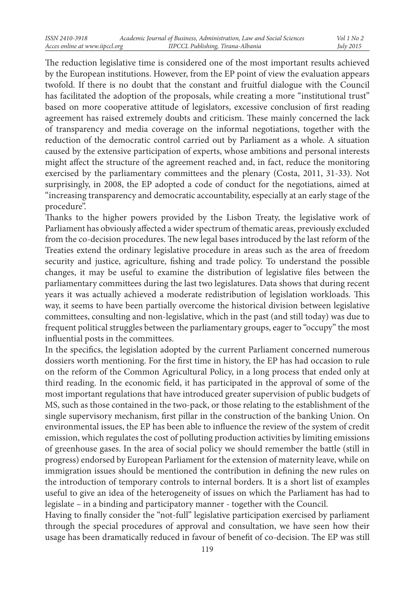The reduction legislative time is considered one of the most important results achieved by the European institutions. However, from the EP point of view the evaluation appears twofold. If there is no doubt that the constant and fruitful dialogue with the Council has facilitated the adoption of the proposals, while creating a more "institutional trust" based on more cooperative attitude of legislators, excessive conclusion of first reading agreement has raised extremely doubts and criticism. These mainly concerned the lack of transparency and media coverage on the informal negotiations, together with the reduction of the democratic control carried out by Parliament as a whole. A situation caused by the extensive participation of experts, whose ambitions and personal interests might affect the structure of the agreement reached and, in fact, reduce the monitoring exercised by the parliamentary committees and the plenary (Costa, 2011, 31-33). Not surprisingly, in 2008, the EP adopted a code of conduct for the negotiations, aimed at "increasing transparency and democratic accountability, especially at an early stage of the procedure".

Thanks to the higher powers provided by the Lisbon Treaty, the legislative work of Parliament has obviously affected a wider spectrum of thematic areas, previously excluded from the co-decision procedures. The new legal bases introduced by the last reform of the Treaties extend the ordinary legislative procedure in areas such as the area of freedom security and justice, agriculture, fishing and trade policy. To understand the possible changes, it may be useful to examine the distribution of legislative files between the parliamentary committees during the last two legislatures. Data shows that during recent years it was actually achieved a moderate redistribution of legislation workloads. This way, it seems to have been partially overcome the historical division between legislative committees, consulting and non-legislative, which in the past (and still today) was due to frequent political struggles between the parliamentary groups, eager to "occupy" the most influential posts in the committees.

In the specifics, the legislation adopted by the current Parliament concerned numerous dossiers worth mentioning. For the first time in history, the EP has had occasion to rule on the reform of the Common Agricultural Policy, in a long process that ended only at third reading. In the economic field, it has participated in the approval of some of the most important regulations that have introduced greater supervision of public budgets of MS, such as those contained in the two-pack, or those relating to the establishment of the single supervisory mechanism, first pillar in the construction of the banking Union. On environmental issues, the EP has been able to influence the review of the system of credit emission, which regulates the cost of polluting production activities by limiting emissions of greenhouse gases. In the area of social policy we should remember the battle (still in progress) endorsed by European Parliament for the extension of maternity leave, while on immigration issues should be mentioned the contribution in defining the new rules on the introduction of temporary controls to internal borders. It is a short list of examples useful to give an idea of the heterogeneity of issues on which the Parliament has had to legislate – in a binding and participatory manner - together with the Council.

Having to finally consider the "not-full" legislative participation exercised by parliament through the special procedures of approval and consultation, we have seen how their usage has been dramatically reduced in favour of benefit of co-decision. The EP was still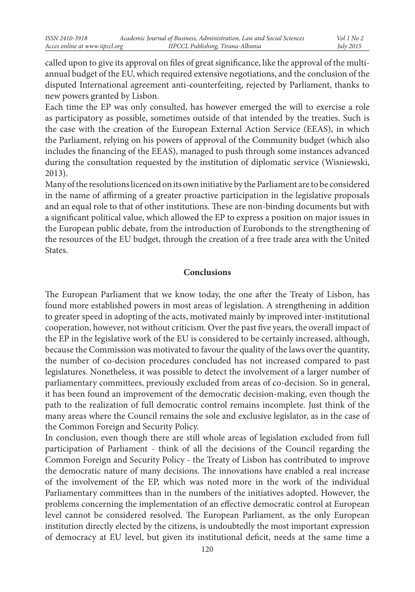called upon to give its approval on files of great significance, like the approval of the multiannual budget of the EU, which required extensive negotiations, and the conclusion of the disputed International agreement anti-counterfeiting, rejected by Parliament, thanks to new powers granted by Lisbon.

Each time the EP was only consulted, has however emerged the will to exercise a role as participatory as possible, sometimes outside of that intended by the treaties. Such is the case with the creation of the European External Action Service (EEAS), in which the Parliament, relying on his powers of approval of the Community budget (which also includes the financing of the EEAS), managed to push through some instances advanced during the consultation requested by the institution of diplomatic service (Wisniewski, 2013).

Many of the resolutions licenced on its own initiative by the Parliament are to be considered in the name of affirming of a greater proactive participation in the legislative proposals and an equal role to that of other institutions. These are non-binding documents but with a significant political value, which allowed the EP to express a position on major issues in the European public debate, from the introduction of Eurobonds to the strengthening of the resources of the EU budget, through the creation of a free trade area with the United **States** 

## **Conclusions**

The European Parliament that we know today, the one after the Treaty of Lisbon, has found more established powers in most areas of legislation. A strengthening in addition to greater speed in adopting of the acts, motivated mainly by improved inter-institutional cooperation, however, not without criticism. Over the past five years, the overall impact of the EP in the legislative work of the EU is considered to be certainly increased, although, because the Commission was motivated to favour the quality of the laws over the quantity, the number of co-decision procedures concluded has not increased compared to past legislatures. Nonetheless, it was possible to detect the involvement of a larger number of parliamentary committees, previously excluded from areas of co-decision. So in general, it has been found an improvement of the democratic decision-making, even though the path to the realization of full democratic control remains incomplete. Just think of the many areas where the Council remains the sole and exclusive legislator, as in the case of the Common Foreign and Security Policy.

In conclusion, even though there are still whole areas of legislation excluded from full participation of Parliament - think of all the decisions of the Council regarding the Common Foreign and Security Policy - the Treaty of Lisbon has contributed to improve the democratic nature of many decisions. The innovations have enabled a real increase of the involvement of the EP, which was noted more in the work of the individual Parliamentary committees than in the numbers of the initiatives adopted. However, the problems concerning the implementation of an effective democratic control at European level cannot be considered resolved. The European Parliament, as the only European institution directly elected by the citizens, is undoubtedly the most important expression of democracy at EU level, but given its institutional deficit, needs at the same time a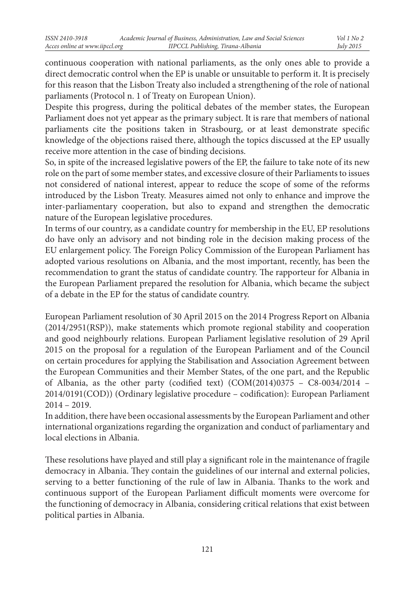continuous cooperation with national parliaments, as the only ones able to provide a direct democratic control when the EP is unable or unsuitable to perform it. It is precisely for this reason that the Lisbon Treaty also included a strengthening of the role of national parliaments (Protocol n. 1 of Treaty on European Union).

Despite this progress, during the political debates of the member states, the European Parliament does not yet appear as the primary subject. It is rare that members of national parliaments cite the positions taken in Strasbourg, or at least demonstrate specific knowledge of the objections raised there, although the topics discussed at the EP usually receive more attention in the case of binding decisions.

So, in spite of the increased legislative powers of the EP, the failure to take note of its new role on the part of some member states, and excessive closure of their Parliaments to issues not considered of national interest, appear to reduce the scope of some of the reforms introduced by the Lisbon Treaty. Measures aimed not only to enhance and improve the inter-parliamentary cooperation, but also to expand and strengthen the democratic nature of the European legislative procedures.

In terms of our country, as a candidate country for membership in the EU, EP resolutions do have only an advisory and not binding role in the decision making process of the EU enlargement policy. The Foreign Policy Commission of the European Parliament has adopted various resolutions on Albania, and the most important, recently, has been the recommendation to grant the status of candidate country. The rapporteur for Albania in the European Parliament prepared the resolution for Albania, which became the subject of a debate in the EP for the status of candidate country.

European Parliament resolution of 30 April 2015 on the 2014 Progress Report on Albania (2014/2951(RSP)), make statements which promote regional stability and cooperation and good neighbourly relations. European Parliament legislative resolution of 29 April 2015 on the proposal for a regulation of the European Parliament and of the Council on certain procedures for applying the Stabilisation and Association Agreement between the European Communities and their Member States, of the one part, and the Republic of Albania, as the other party (codified text) (COM(2014)0375 – C8-0034/2014 – 2014/0191(COD)) (Ordinary legislative procedure – codification): European Parliament 2014 – 2019.

In addition, there have been occasional assessments by the European Parliament and other international organizations regarding the organization and conduct of parliamentary and local elections in Albania.

These resolutions have played and still play a significant role in the maintenance of fragile democracy in Albania. They contain the guidelines of our internal and external policies, serving to a better functioning of the rule of law in Albania. Thanks to the work and continuous support of the European Parliament difficult moments were overcome for the functioning of democracy in Albania, considering critical relations that exist between political parties in Albania.